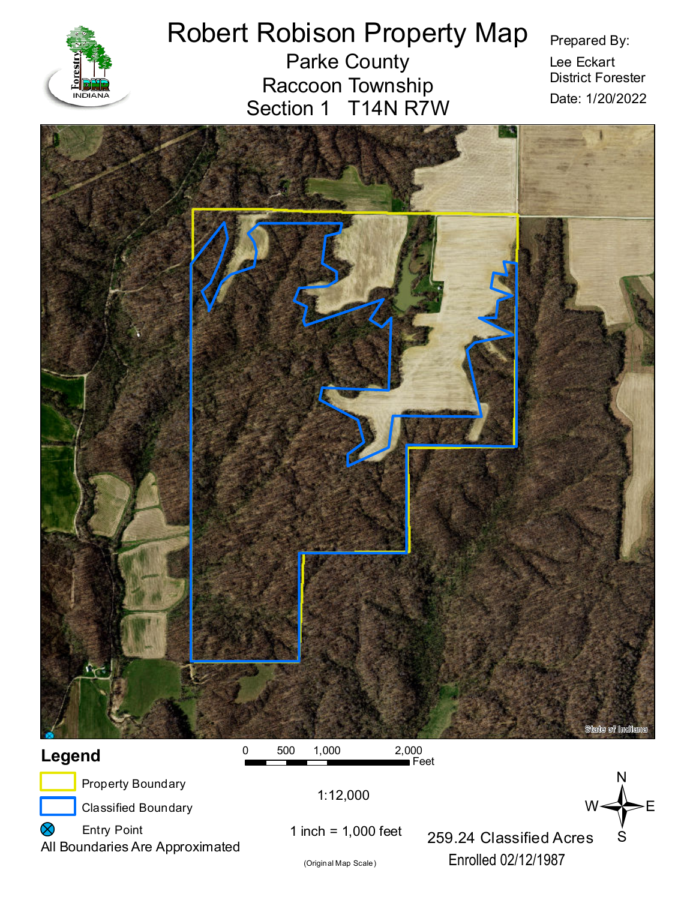

# Robert Robison Property Map

Parke County Raccoon Township Section 1 T14N R7W Prepared By:

Lee Eckart District Forester Date: 1/20/2022





(Original Map Scale)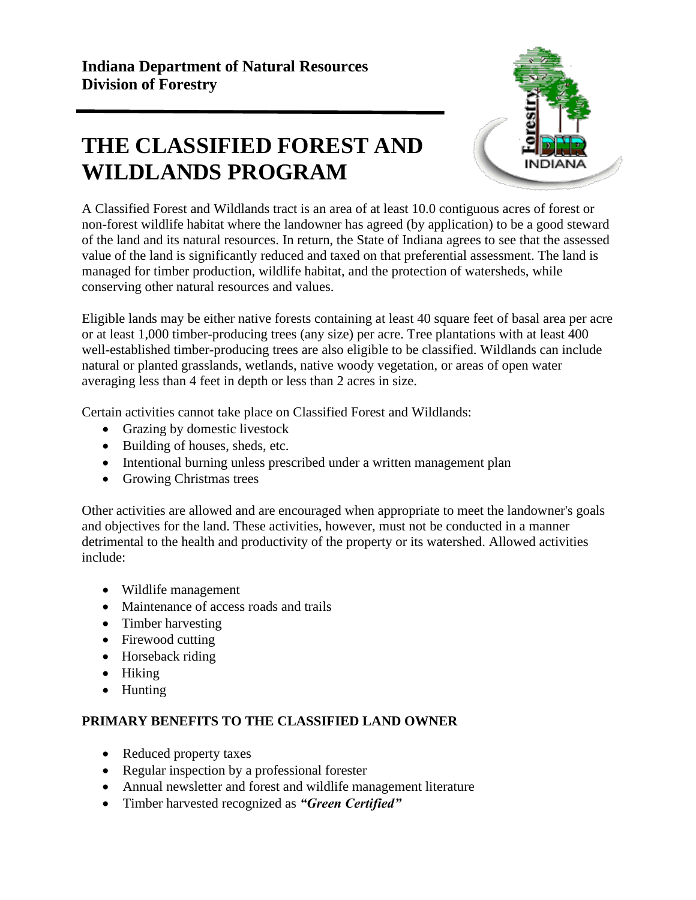# **THE CLASSIFIED FOREST AND WILDLANDS PROGRAM**



A Classified Forest and Wildlands tract is an area of at least 10.0 contiguous acres of forest or non-forest wildlife habitat where the landowner has agreed (by application) to be a good steward of the land and its natural resources. In return, the State of Indiana agrees to see that the assessed value of the land is significantly reduced and taxed on that preferential assessment. The land is managed for timber production, wildlife habitat, and the protection of watersheds, while conserving other natural resources and values.

Eligible lands may be either native forests containing at least 40 square feet of basal area per acre or at least 1,000 timber-producing trees (any size) per acre. Tree plantations with at least 400 well-established timber-producing trees are also eligible to be classified. Wildlands can include natural or planted grasslands, wetlands, native woody vegetation, or areas of open water averaging less than 4 feet in depth or less than 2 acres in size.

Certain activities cannot take place on Classified Forest and Wildlands:

- Grazing by domestic livestock
- Building of houses, sheds, etc.
- Intentional burning unless prescribed under a written management plan
- Growing Christmas trees

Other activities are allowed and are encouraged when appropriate to meet the landowner's goals and objectives for the land. These activities, however, must not be conducted in a manner detrimental to the health and productivity of the property or its watershed. Allowed activities include:

- Wildlife management
- Maintenance of access roads and trails
- Timber harvesting
- Firewood cutting
- Horseback riding
- Hiking
- Hunting

# **PRIMARY BENEFITS TO THE CLASSIFIED LAND OWNER**

- Reduced property taxes
- Regular inspection by a professional forester
- Annual newsletter and forest and wildlife management literature
- Timber harvested recognized as *"Green Certified"*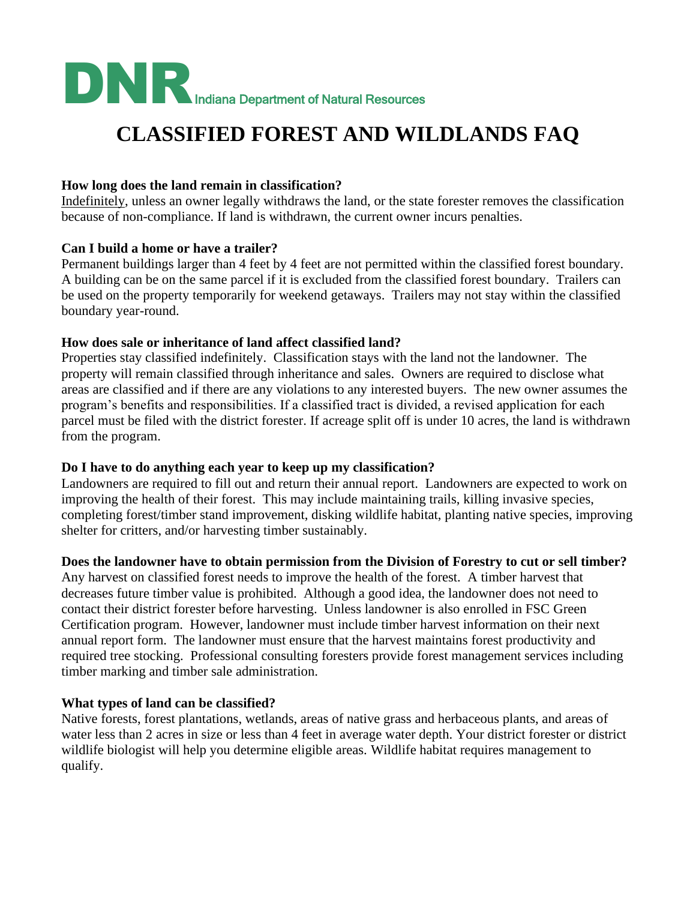

# **CLASSIFIED FOREST AND WILDLANDS FAQ**

### **How long does the land remain in classification?**

Indefinitely, unless an owner legally withdraws the land, or the state forester removes the classification because of non-compliance. If land is withdrawn, the current owner incurs penalties.

#### **Can I build a home or have a trailer?**

Permanent buildings larger than 4 feet by 4 feet are not permitted within the classified forest boundary. A building can be on the same parcel if it is excluded from the classified forest boundary. Trailers can be used on the property temporarily for weekend getaways. Trailers may not stay within the classified boundary year-round.

#### **How does sale or inheritance of land affect classified land?**

Properties stay classified indefinitely. Classification stays with the land not the landowner. The property will remain classified through inheritance and sales. Owners are required to disclose what areas are classified and if there are any violations to any interested buyers. The new owner assumes the program's benefits and responsibilities. If a classified tract is divided, a revised application for each parcel must be filed with the district forester. If acreage split off is under 10 acres, the land is withdrawn from the program.

# **Do I have to do anything each year to keep up my classification?**

Landowners are required to fill out and return their annual report. Landowners are expected to work on improving the health of their forest. This may include maintaining trails, killing invasive species, completing forest/timber stand improvement, disking wildlife habitat, planting native species, improving shelter for critters, and/or harvesting timber sustainably.

# **Does the landowner have to obtain permission from the Division of Forestry to cut or sell timber?**

Any harvest on classified forest needs to improve the health of the forest. A timber harvest that decreases future timber value is prohibited. Although a good idea, the landowner does not need to contact their district forester before harvesting. Unless landowner is also enrolled in FSC Green Certification program. However, landowner must include timber harvest information on their next annual report form. The landowner must ensure that the harvest maintains forest productivity and required tree stocking. Professional consulting foresters provide forest management services including timber marking and timber sale administration.

# **What types of land can be classified?**

Native forests, forest plantations, wetlands, areas of native grass and herbaceous plants, and areas of water less than 2 acres in size or less than 4 feet in average water depth. Your district forester or district wildlife biologist will help you determine eligible areas. Wildlife habitat requires management to qualify.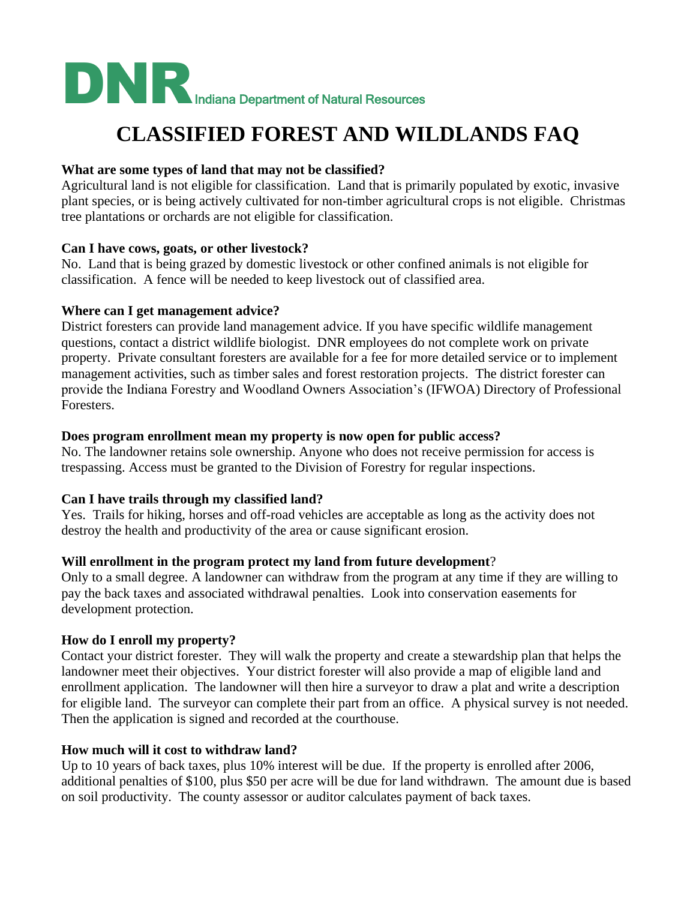

# **CLASSIFIED FOREST AND WILDLANDS FAQ**

#### **What are some types of land that may not be classified?**

Agricultural land is not eligible for classification. Land that is primarily populated by exotic, invasive plant species, or is being actively cultivated for non-timber agricultural crops is not eligible. Christmas tree plantations or orchards are not eligible for classification.

#### **Can I have cows, goats, or other livestock?**

No. Land that is being grazed by domestic livestock or other confined animals is not eligible for classification.A fence will be needed to keep livestock out of classified area.

#### **Where can I get management advice?**

District foresters can provide land management advice. If you have specific wildlife management questions, contact a district wildlife biologist. DNR employees do not complete work on private property. Private consultant foresters are available for a fee for more detailed service or to implement management activities, such as timber sales and forest restoration projects. The district forester can provide the Indiana Forestry and Woodland Owners Association's (IFWOA) Directory of Professional Foresters.

#### **Does program enrollment mean my property is now open for public access?**

No. The landowner retains sole ownership. Anyone who does not receive permission for access is trespassing. Access must be granted to the Division of Forestry for regular inspections.

#### **Can I have trails through my classified land?**

Yes. Trails for hiking, horses and off-road vehicles are acceptable as long as the activity does not destroy the health and productivity of the area or cause significant erosion.

#### **Will enrollment in the program protect my land from future development**?

Only to a small degree. A landowner can withdraw from the program at any time if they are willing to pay the back taxes and associated withdrawal penalties. Look into conservation easements for development protection.

#### **How do I enroll my property?**

Contact your district forester. They will walk the property and create a stewardship plan that helps the landowner meet their objectives. Your district forester will also provide a map of eligible land and enrollment application. The landowner will then hire a surveyor to draw a plat and write a description for eligible land. The surveyor can complete their part from an office. A physical survey is not needed. Then the application is signed and recorded at the courthouse.

#### **How much will it cost to withdraw land?**

Up to 10 years of back taxes, plus 10% interest will be due. If the property is enrolled after 2006, additional penalties of \$100, plus \$50 per acre will be due for land withdrawn. The amount due is based on soil productivity. The county assessor or auditor calculates payment of back taxes.